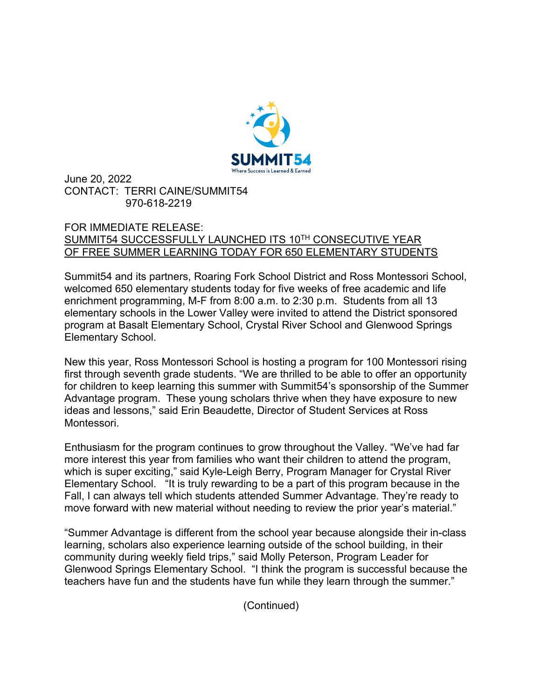

June 20, 2022 CONTACT: TERRI CAINE/SUMMIT54 970-618-2219

## FOR IMMEDIATE RELEASE: SUMMIT54 SUCCESSFULLY LAUNCHED ITS 10TH CONSECUTIVE YEAR OF FREE SUMMER LEARNING TODAY FOR 650 ELEMENTARY STUDENTS

Summit54 and its partners, Roaring Fork School District and Ross Montessori School, welcomed 650 elementary students today for five weeks of free academic and life enrichment programming, M-F from 8:00 a.m. to 2:30 p.m. Students from all 13 elementary schools in the Lower Valley were invited to attend the District sponsored program at Basalt Elementary School, Crystal River School and Glenwood Springs Elementary School.

New this year, Ross Montessori School is hosting a program for 100 Montessori rising first through seventh grade students. "We are thrilled to be able to offer an opportunity for children to keep learning this summer with Summit54's sponsorship of the Summer Advantage program. These young scholars thrive when they have exposure to new ideas and lessons," said Erin Beaudette, Director of Student Services at Ross Montessori.

Enthusiasm for the program continues to grow throughout the Valley. "We've had far more interest this year from families who want their children to attend the program, which is super exciting," said Kyle-Leigh Berry, Program Manager for Crystal River Elementary School. "It is truly rewarding to be a part of this program because in the Fall, I can always tell which students attended Summer Advantage. They're ready to move forward with new material without needing to review the prior year's material."

"Summer Advantage is different from the school year because alongside their in-class learning, scholars also experience learning outside of the school building, in their community during weekly field trips," said Molly Peterson, Program Leader for Glenwood Springs Elementary School. "I think the program is successful because the teachers have fun and the students have fun while they learn through the summer."

(Continued)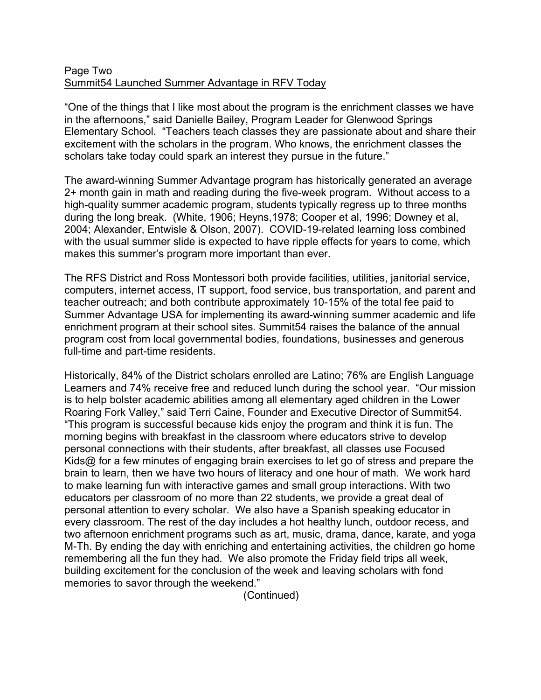## Page Two Summit54 Launched Summer Advantage in RFV Today

"One of the things that I like most about the program is the enrichment classes we have in the afternoons," said Danielle Bailey, Program Leader for Glenwood Springs Elementary School. "Teachers teach classes they are passionate about and share their excitement with the scholars in the program. Who knows, the enrichment classes the scholars take today could spark an interest they pursue in the future."

The award-winning Summer Advantage program has historically generated an average 2+ month gain in math and reading during the five-week program. Without access to a high-quality summer academic program, students typically regress up to three months during the long break. (White, 1906; Heyns,1978; Cooper et al, 1996; Downey et al, 2004; Alexander, Entwisle & Olson, 2007). COVID-19-related learning loss combined with the usual summer slide is expected to have ripple effects for years to come, which makes this summer's program more important than ever.

The RFS District and Ross Montessori both provide facilities, utilities, janitorial service, computers, internet access, IT support, food service, bus transportation, and parent and teacher outreach; and both contribute approximately 10-15% of the total fee paid to Summer Advantage USA for implementing its award-winning summer academic and life enrichment program at their school sites. Summit54 raises the balance of the annual program cost from local governmental bodies, foundations, businesses and generous full-time and part-time residents.

Historically, 84% of the District scholars enrolled are Latino; 76% are English Language Learners and 74% receive free and reduced lunch during the school year. "Our mission is to help bolster academic abilities among all elementary aged children in the Lower Roaring Fork Valley," said Terri Caine, Founder and Executive Director of Summit54. "This program is successful because kids enjoy the program and think it is fun. The morning begins with breakfast in the classroom where educators strive to develop personal connections with their students, after breakfast, all classes use Focused Kids@ for a few minutes of engaging brain exercises to let go of stress and prepare the brain to learn, then we have two hours of literacy and one hour of math. We work hard to make learning fun with interactive games and small group interactions. With two educators per classroom of no more than 22 students, we provide a great deal of personal attention to every scholar. We also have a Spanish speaking educator in every classroom. The rest of the day includes a hot healthy lunch, outdoor recess, and two afternoon enrichment programs such as art, music, drama, dance, karate, and yoga M-Th. By ending the day with enriching and entertaining activities, the children go home remembering all the fun they had. We also promote the Friday field trips all week, building excitement for the conclusion of the week and leaving scholars with fond memories to savor through the weekend."

(Continued)